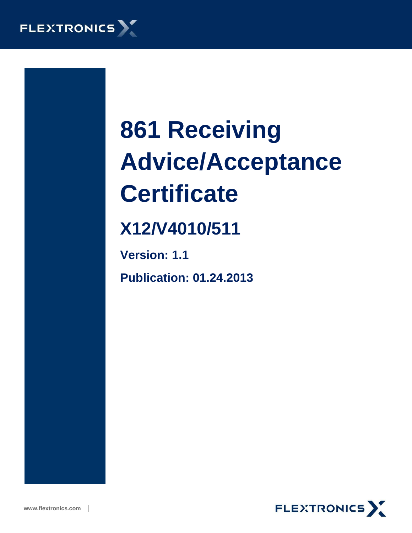

# **861 Receiving Advice/Acceptance Certificate**

# **X12/V4010/511**

**Version: 1.1 Publication: 01.24.2013**

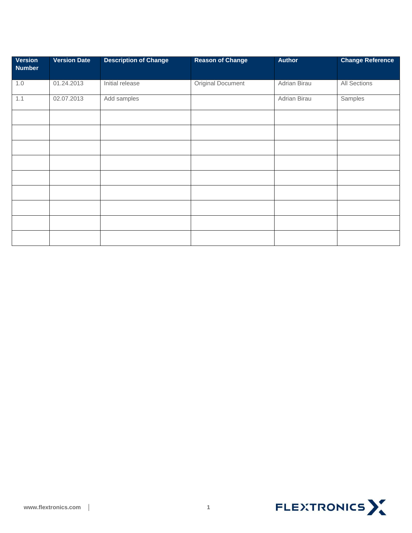| <b>Version</b><br><b>Number</b> | <b>Version Date</b> | <b>Description of Change</b> | <b>Reason of Change</b> | <b>Author</b> | <b>Change Reference</b> |
|---------------------------------|---------------------|------------------------------|-------------------------|---------------|-------------------------|
| 1.0                             | 01.24.2013          | Initial release              | Original Document       | Adrian Birau  | <b>All Sections</b>     |
| 1.1                             | 02.07.2013          | Add samples                  |                         | Adrian Birau  | Samples                 |
|                                 |                     |                              |                         |               |                         |
|                                 |                     |                              |                         |               |                         |
|                                 |                     |                              |                         |               |                         |
|                                 |                     |                              |                         |               |                         |
|                                 |                     |                              |                         |               |                         |
|                                 |                     |                              |                         |               |                         |
|                                 |                     |                              |                         |               |                         |
|                                 |                     |                              |                         |               |                         |
|                                 |                     |                              |                         |               |                         |

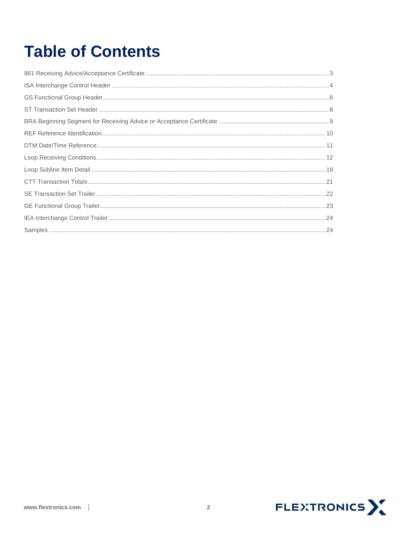# **Table of Contents**

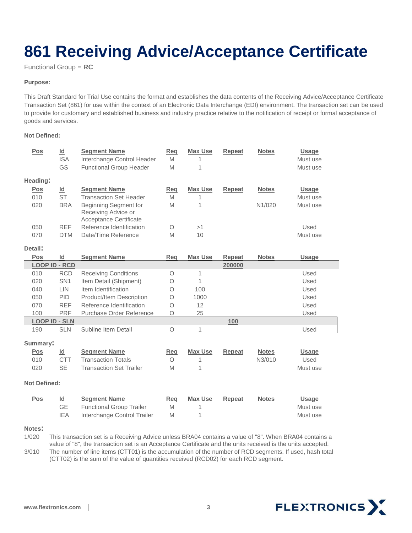# <span id="page-3-0"></span>**861 Receiving Advice/Acceptance Certificate**

Functional Group = **RC**

#### **Purpose:**

This Draft Standard for Trial Use contains the format and establishes the data contents of the Receiving Advice/Acceptance Certificate Transaction Set (861) for use within the context of an Electronic Data Interchange (EDI) environment. The transaction set can be used to provide for customary and established business and industry practice relative to the notification of receipt or formal acceptance of goods and services.

#### **Not Defined:**

| Pos                  | $\underline{\mathsf{Id}}$<br><b>ISA</b><br>GS        | <b>Segment Name</b><br>Interchange Control Header<br><b>Functional Group Header</b>   | Req<br>M<br>M        | <b>Max Use</b><br>1<br>1 | <b>Repeat</b> | <b>Notes</b> | <b>Usage</b><br>Must use<br>Must use |
|----------------------|------------------------------------------------------|---------------------------------------------------------------------------------------|----------------------|--------------------------|---------------|--------------|--------------------------------------|
| Heading:             |                                                      |                                                                                       |                      |                          |               |              |                                      |
| Pos                  | Id                                                   | <b>Segment Name</b>                                                                   | Req                  | <b>Max Use</b>           | <b>Repeat</b> | <b>Notes</b> | <b>Usage</b>                         |
| 010                  | <b>ST</b>                                            | <b>Transaction Set Header</b>                                                         | M                    | 1                        |               |              | Must use                             |
| 020                  | <b>BRA</b>                                           | Beginning Segment for<br>Receiving Advice or                                          | M                    | 1                        |               | N1/020       | Must use                             |
|                      |                                                      | Acceptance Certificate                                                                |                      |                          |               |              |                                      |
| 050                  | <b>REF</b>                                           | Reference Identification                                                              | $\circ$              | >1                       |               |              | Used                                 |
| 070                  | <b>DTM</b>                                           | Date/Time Reference                                                                   | M                    | 10                       |               |              | Must use                             |
| Detail:              |                                                      |                                                                                       |                      |                          |               |              |                                      |
| Pos                  | Id                                                   | <b>Segment Name</b>                                                                   | Reg                  | Max Use                  | Repeat        | <b>Notes</b> | <b>Usage</b>                         |
| <b>LOOP ID - RCD</b> |                                                      |                                                                                       |                      |                          | 200000        |              |                                      |
| 010                  | <b>RCD</b>                                           | <b>Receiving Conditions</b>                                                           | $\circ$              | 1                        |               |              | Used                                 |
| 020                  | SN <sub>1</sub>                                      | Item Detail (Shipment)                                                                | $\circ$              | 1                        |               |              | Used                                 |
| 040                  | <b>LIN</b>                                           | Item Identification                                                                   | $\circ$              | 100                      |               |              | Used                                 |
| 050                  | PID                                                  | Product/Item Description                                                              | $\circ$              | 1000                     |               |              | Used                                 |
| 070                  | <b>REF</b>                                           | Reference Identification                                                              | $\bigcirc$           | 12                       |               |              | Used                                 |
| 100                  | <b>PRF</b>                                           | Purchase Order Reference                                                              | $\circ$              | 25                       |               |              | Used                                 |
| <b>LOOP ID - SLN</b> |                                                      |                                                                                       |                      |                          | 100           |              |                                      |
| 190                  | <b>SLN</b>                                           | Subline Item Detail                                                                   | O                    | 1                        |               |              | Used                                 |
| Summary:             |                                                      |                                                                                       |                      |                          |               |              |                                      |
| <b>Pos</b>           | Id                                                   | <b>Segment Name</b>                                                                   | Req                  | <b>Max Use</b>           | Repeat        | <b>Notes</b> | <b>Usage</b>                         |
| 010                  | <b>CTT</b>                                           | <b>Transaction Totals</b>                                                             | $\Omega$             | 1                        |               | N3/010       | Used                                 |
| 020                  | <b>SE</b>                                            | <b>Transaction Set Trailer</b>                                                        | M                    | 1                        |               |              | Must use                             |
|                      |                                                      |                                                                                       |                      |                          |               |              |                                      |
| <b>Not Defined:</b>  |                                                      |                                                                                       |                      |                          |               |              |                                      |
| <u>Pos</u>           | $\underline{\mathsf{Id}}$<br><b>GE</b><br><b>IEA</b> | <b>Segment Name</b><br><b>Functional Group Trailer</b><br>Interchange Control Trailer | <b>Req</b><br>M<br>M | <b>Max Use</b><br>1<br>1 | <b>Repeat</b> | <b>Notes</b> | <b>Usage</b><br>Must use<br>Must use |

#### **Notes:**

1/020 This transaction set is a Receiving Advice unless BRA04 contains a value of "8". When BRA04 contains a value of "8", the transaction set is an Acceptance Certificate and the units received is the units accepted. 3/010 The number of line items (CTT01) is the accumulation of the number of RCD segments. If used, hash total (CTT02) is the sum of the value of quantities received (RCD02) for each RCD segment.

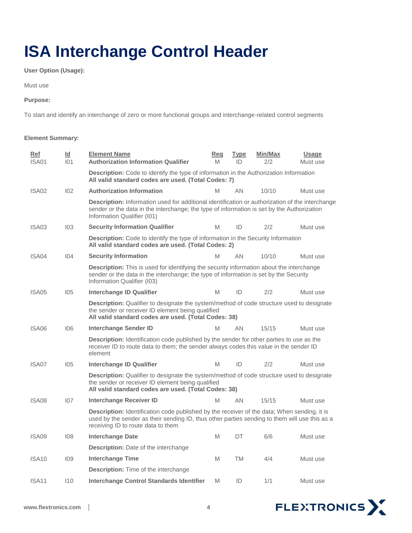# <span id="page-4-0"></span>**ISA Interchange Control Header**

**User Option (Usage):** 

Must use

#### **Purpose:**

To start and identify an interchange of zero or more functional groups and interchange-related control segments

#### **Element Summary:**

| Ref<br>ISA01      | Id<br>101 | <b>Element Name</b><br><b>Authorization Information Qualifier</b>                                                                                                                                                                         | Req<br>M | <b>Type</b><br>ID | Min/Max<br>2/2 | <b>Usage</b><br>Must use |  |
|-------------------|-----------|-------------------------------------------------------------------------------------------------------------------------------------------------------------------------------------------------------------------------------------------|----------|-------------------|----------------|--------------------------|--|
|                   |           | Description: Code to identify the type of information in the Authorization Information<br>All valid standard codes are used. (Total Codes: 7)                                                                                             |          |                   |                |                          |  |
| ISA02             | 102       | <b>Authorization Information</b>                                                                                                                                                                                                          | M        | ΑN                | 10/10          | Must use                 |  |
|                   |           | Description: Information used for additional identification or authorization of the interchange<br>sender or the data in the interchange; the type of information is set by the Authorization<br>Information Qualifier (I01)              |          |                   |                |                          |  |
| ISA03             | 103       | <b>Security Information Qualifier</b>                                                                                                                                                                                                     | M        | ID                | 2/2            | Must use                 |  |
|                   |           | Description: Code to identify the type of information in the Security Information<br>All valid standard codes are used. (Total Codes: 2)                                                                                                  |          |                   |                |                          |  |
| ISA04             | 104       | <b>Security Information</b>                                                                                                                                                                                                               | M        | AN.               | 10/10          | Must use                 |  |
|                   |           | <b>Description:</b> This is used for identifying the security information about the interchange<br>sender or the data in the interchange; the type of information is set by the Security<br>Information Qualifier (103)                   |          |                   |                |                          |  |
| ISA05             | 105       | Interchange ID Qualifier                                                                                                                                                                                                                  | M        | ID                | 2/2            | Must use                 |  |
|                   |           | Description: Qualifier to designate the system/method of code structure used to designate<br>the sender or receiver ID element being qualified<br>All valid standard codes are used. (Total Codes: 38)                                    |          |                   |                |                          |  |
| ISA06             | 106       | <b>Interchange Sender ID</b>                                                                                                                                                                                                              | M        | AN.               | 15/15          | Must use                 |  |
|                   |           | <b>Description:</b> Identification code published by the sender for other parties to use as the<br>receiver ID to route data to them; the sender always codes this value in the sender ID<br>element                                      |          |                   |                |                          |  |
| ISA07             | 105       | <b>Interchange ID Qualifier</b>                                                                                                                                                                                                           | M        | ID                | 2/2            | Must use                 |  |
|                   |           | <b>Description:</b> Qualifier to designate the system/method of code structure used to designate<br>the sender or receiver ID element being qualified<br>All valid standard codes are used. (Total Codes: 38)                             |          |                   |                |                          |  |
| ISA08             | 107       | <b>Interchange Receiver ID</b>                                                                                                                                                                                                            | M        | AN                | 15/15          | Must use                 |  |
|                   |           | <b>Description:</b> Identification code published by the receiver of the data; When sending, it is<br>used by the sender as their sending ID, thus other parties sending to them will use this as a<br>receiving ID to route data to them |          |                   |                |                          |  |
| ISA09             | 108       | <b>Interchange Date</b>                                                                                                                                                                                                                   | M        | DT                | 6/6            | Must use                 |  |
|                   |           | <b>Description:</b> Date of the interchange                                                                                                                                                                                               |          |                   |                |                          |  |
| ISA <sub>10</sub> | 109       | <b>Interchange Time</b>                                                                                                                                                                                                                   | M        | TM                | 4/4            | Must use                 |  |
|                   |           | Description: Time of the interchange                                                                                                                                                                                                      |          |                   |                |                          |  |
| ISA <sub>11</sub> | 110       | <b>Interchange Control Standards Identifier</b>                                                                                                                                                                                           | M        | ID                | 1/1            | Must use                 |  |

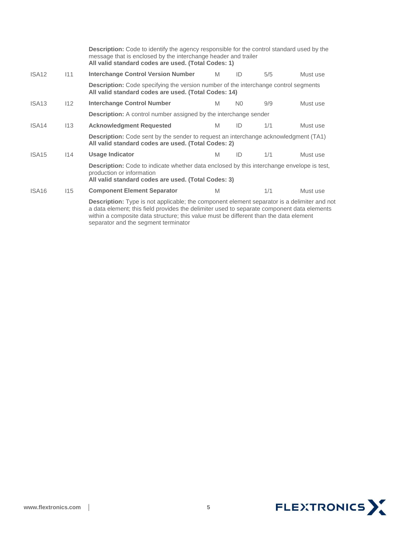|                                                                                                                                                   |     | <b>Description:</b> Code to identify the agency responsible for the control standard used by the<br>message that is enclosed by the interchange header and trailer<br>All valid standard codes are used. (Total Codes: 1)                                                                 |                                                                                                                                                    |                |     |          |  |  |  |
|---------------------------------------------------------------------------------------------------------------------------------------------------|-----|-------------------------------------------------------------------------------------------------------------------------------------------------------------------------------------------------------------------------------------------------------------------------------------------|----------------------------------------------------------------------------------------------------------------------------------------------------|----------------|-----|----------|--|--|--|
| ISA <sub>12</sub>                                                                                                                                 | 111 | <b>Interchange Control Version Number</b>                                                                                                                                                                                                                                                 | M                                                                                                                                                  | ID             | 5/5 | Must use |  |  |  |
|                                                                                                                                                   |     |                                                                                                                                                                                                                                                                                           | <b>Description:</b> Code specifying the version number of the interchange control segments<br>All valid standard codes are used. (Total Codes: 14) |                |     |          |  |  |  |
| ISA <sub>13</sub>                                                                                                                                 | 112 | <b>Interchange Control Number</b>                                                                                                                                                                                                                                                         | M                                                                                                                                                  | N <sub>0</sub> | 9/9 | Must use |  |  |  |
|                                                                                                                                                   |     | <b>Description:</b> A control number assigned by the interchange sender                                                                                                                                                                                                                   |                                                                                                                                                    |                |     |          |  |  |  |
| ISA <sub>14</sub>                                                                                                                                 | 113 | <b>Acknowledgment Requested</b>                                                                                                                                                                                                                                                           | M                                                                                                                                                  | ID             | 1/1 | Must use |  |  |  |
| <b>Description:</b> Code sent by the sender to request an interchange acknowledgment (TA1)<br>All valid standard codes are used. (Total Codes: 2) |     |                                                                                                                                                                                                                                                                                           |                                                                                                                                                    |                |     |          |  |  |  |
| ISA <sub>15</sub>                                                                                                                                 | 14  | <b>Usage Indicator</b>                                                                                                                                                                                                                                                                    | M                                                                                                                                                  | ID             | 1/1 | Must use |  |  |  |
|                                                                                                                                                   |     | <b>Description:</b> Code to indicate whether data enclosed by this interchange envelope is test,<br>production or information<br>All valid standard codes are used. (Total Codes: 3)                                                                                                      |                                                                                                                                                    |                |     |          |  |  |  |
| ISA <sub>16</sub>                                                                                                                                 | 115 | <b>Component Element Separator</b>                                                                                                                                                                                                                                                        | M                                                                                                                                                  |                | 1/1 | Must use |  |  |  |
|                                                                                                                                                   |     | <b>Description:</b> Type is not applicable; the component element separator is a delimiter and not<br>a data element; this field provides the delimiter used to separate component data elements<br>within a composite data structure; this value must be different than the data element |                                                                                                                                                    |                |     |          |  |  |  |

separator and the segment terminator

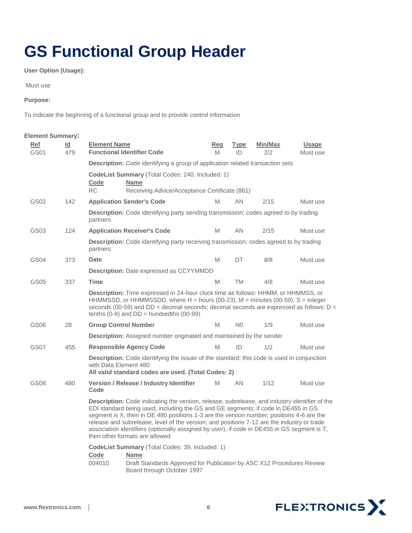### <span id="page-6-0"></span>**GS Functional Group Header**

**User Option (Usage):**

Must use

#### **Purpose:**

To indicate the beginning of a functional group and to provide control information

| <b>Element Summary:</b> |                                                                                                                                                                                                                                                                                                                                                                                                                                                                                                                      |                                                                                                                                                                                                                                                                                                                           |                                                                                                                                                                              |          |                |                |                          |
|-------------------------|----------------------------------------------------------------------------------------------------------------------------------------------------------------------------------------------------------------------------------------------------------------------------------------------------------------------------------------------------------------------------------------------------------------------------------------------------------------------------------------------------------------------|---------------------------------------------------------------------------------------------------------------------------------------------------------------------------------------------------------------------------------------------------------------------------------------------------------------------------|------------------------------------------------------------------------------------------------------------------------------------------------------------------------------|----------|----------------|----------------|--------------------------|
| Ref<br><b>GS01</b>      | ld.<br>479                                                                                                                                                                                                                                                                                                                                                                                                                                                                                                           | <b>Element Name</b>                                                                                                                                                                                                                                                                                                       | <b>Functional Identifier Code</b>                                                                                                                                            | Rea<br>M | Type<br>ID     | Min/Max<br>2/2 | <b>Usage</b><br>Must use |
|                         |                                                                                                                                                                                                                                                                                                                                                                                                                                                                                                                      |                                                                                                                                                                                                                                                                                                                           | <b>Description:</b> Code identifying a group of application related transaction sets                                                                                         |          |                |                |                          |
|                         |                                                                                                                                                                                                                                                                                                                                                                                                                                                                                                                      | Code                                                                                                                                                                                                                                                                                                                      | CodeList Summary (Total Codes: 240, Included: 1)<br><b>Name</b>                                                                                                              |          |                |                |                          |
|                         |                                                                                                                                                                                                                                                                                                                                                                                                                                                                                                                      | RC.                                                                                                                                                                                                                                                                                                                       | Receiving Advice/Acceptance Certificate (861)                                                                                                                                |          |                |                |                          |
| GS02                    | 142                                                                                                                                                                                                                                                                                                                                                                                                                                                                                                                  |                                                                                                                                                                                                                                                                                                                           | <b>Application Sender's Code</b>                                                                                                                                             | M        | AN             | 2/15           | Must use                 |
|                         |                                                                                                                                                                                                                                                                                                                                                                                                                                                                                                                      | partners                                                                                                                                                                                                                                                                                                                  | <b>Description:</b> Code identifying party sending transmission; codes agreed to by trading                                                                                  |          |                |                |                          |
| GS03                    | 124                                                                                                                                                                                                                                                                                                                                                                                                                                                                                                                  |                                                                                                                                                                                                                                                                                                                           | <b>Application Receiver's Code</b>                                                                                                                                           | M        | AN             | 2/15           | Must use                 |
|                         |                                                                                                                                                                                                                                                                                                                                                                                                                                                                                                                      | partners                                                                                                                                                                                                                                                                                                                  | <b>Description:</b> Code identifying party receiving transmission; codes agreed to by trading                                                                                |          |                |                |                          |
| GS04                    | 373                                                                                                                                                                                                                                                                                                                                                                                                                                                                                                                  | Date                                                                                                                                                                                                                                                                                                                      |                                                                                                                                                                              | M        | DT             | 8/8            | Must use                 |
|                         |                                                                                                                                                                                                                                                                                                                                                                                                                                                                                                                      |                                                                                                                                                                                                                                                                                                                           | Description: Date expressed as CCYYMMDD                                                                                                                                      |          |                |                |                          |
| GS05                    | 337                                                                                                                                                                                                                                                                                                                                                                                                                                                                                                                  | <b>Time</b>                                                                                                                                                                                                                                                                                                               |                                                                                                                                                                              | M        | TM             | 4/8            | Must use                 |
|                         |                                                                                                                                                                                                                                                                                                                                                                                                                                                                                                                      | Description: Time expressed in 24-hour clock time as follows: HHMM, or HHMMSS, or<br>HHMMSSD, or HHMMSSDD, where $H =$ hours (00-23), $M =$ minutes (00-59), S = integer<br>seconds (00-59) and $DD =$ decimal seconds; decimal seconds are expressed as follows: $D =$<br>tenths $(0-9)$ and $DD =$ hundredths $(00-99)$ |                                                                                                                                                                              |          |                |                |                          |
| GS06                    | 28                                                                                                                                                                                                                                                                                                                                                                                                                                                                                                                   |                                                                                                                                                                                                                                                                                                                           | <b>Group Control Number</b>                                                                                                                                                  | M        | N <sub>0</sub> | 1/9            | Must use                 |
|                         |                                                                                                                                                                                                                                                                                                                                                                                                                                                                                                                      |                                                                                                                                                                                                                                                                                                                           | Description: Assigned number originated and maintained by the sender                                                                                                         |          |                |                |                          |
| GS07                    | 455                                                                                                                                                                                                                                                                                                                                                                                                                                                                                                                  |                                                                                                                                                                                                                                                                                                                           | <b>Responsible Agency Code</b>                                                                                                                                               | M        | ID             | 1/2            | Must use                 |
|                         |                                                                                                                                                                                                                                                                                                                                                                                                                                                                                                                      | with Data Element 480                                                                                                                                                                                                                                                                                                     | Description: Code identifying the issuer of the standard; this code is used in conjunction<br>All valid standard codes are used. (Total Codes: 2)                            |          |                |                |                          |
| GS08                    | 480                                                                                                                                                                                                                                                                                                                                                                                                                                                                                                                  | Code                                                                                                                                                                                                                                                                                                                      | Version / Release / Industry Identifier                                                                                                                                      | M        | AN             | 1/12           | Must use                 |
|                         | <b>Description:</b> Code indicating the version, release, subrelease, and industry identifier of the<br>EDI standard being used, including the GS and GE segments; if code in DE455 in GS<br>segment is X, then in DE 480 positions 1-3 are the version number; positions 4-6 are the<br>release and subrelease, level of the version; and positions 7-12 are the industry or trade<br>association identifiers (optionally assigned by user); if code in DE455 in GS segment is T,<br>then other formats are allowed |                                                                                                                                                                                                                                                                                                                           |                                                                                                                                                                              |          |                |                |                          |
|                         |                                                                                                                                                                                                                                                                                                                                                                                                                                                                                                                      | Code<br>004010                                                                                                                                                                                                                                                                                                            | <b>CodeList Summary</b> (Total Codes: 39, Included: 1)<br><b>Name</b><br>Draft Standards Approved for Publication by ASC X12 Procedures Review<br>Board through October 1997 |          |                |                |                          |

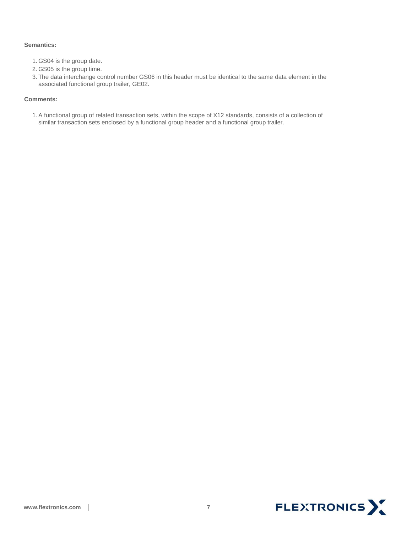#### **Semantics:**

- 1. GS04 is the group date.
- 2. GS05 is the group time.
- 3. The data interchange control number GS06 in this header must be identical to the same data element in the associated functional group trailer, GE02.

#### **Comments:**

1.A functional group of related transaction sets, within the scope of X12 standards, consists of a collection of similar transaction sets enclosed by a functional group header and a functional group trailer.

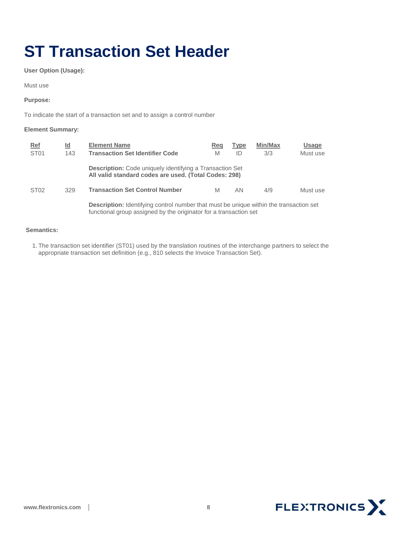# <span id="page-8-0"></span>**ST Transaction Set Header**

**User Option (Usage):** 

Must use

#### **Purpose:**

To indicate the start of a transaction set and to assign a control number

#### **Element Summary:**

| Ref              | Id  | <b>Element Name</b>                                                                                                                                                | Reg | <b>Type</b> | <b>Min/Max</b> | <b>Usage</b> |
|------------------|-----|--------------------------------------------------------------------------------------------------------------------------------------------------------------------|-----|-------------|----------------|--------------|
| ST <sub>01</sub> | 143 | <b>Transaction Set Identifier Code</b>                                                                                                                             | M   | ID          | 3/3            | Must use     |
|                  |     | <b>Description:</b> Code uniquely identifying a Transaction Set<br>All valid standard codes are used. (Total Codes: 298)                                           |     |             |                |              |
| ST <sub>02</sub> | 329 | <b>Transaction Set Control Number</b>                                                                                                                              | M   | AN          | 4/9            | Must use     |
|                  |     | <b>Description:</b> Identifying control number that must be unique within the transaction set<br>functional group assigned by the originator for a transaction set |     |             |                |              |

#### **Semantics:**

1. The transaction set identifier (ST01) used by the translation routines of the interchange partners to select the appropriate transaction set definition (e.g., 810 selects the Invoice Transaction Set).

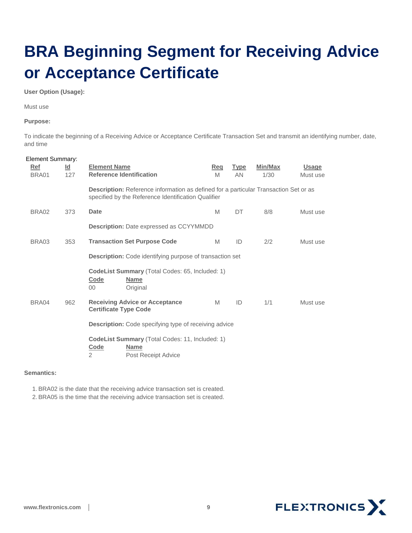# <span id="page-9-0"></span>**BRA Beginning Segment for Receiving Advice or Acceptance Certificate**

#### **User Option (Usage):**

Must use

#### **Purpose:**

To indicate the beginning of a Receiving Advice or Acceptance Certificate Transaction Set and transmit an identifying number, date, and time

| <b>Element Summary:</b><br>Ref<br>BRA01 | $\underline{\mathsf{Id}}$<br>127 | <b>Element Name</b><br><b>Reference Identification</b>                                                                                             | <u>Req</u><br>M | <b>Type</b><br>AN | Min/Max<br>1/30 | <b>Usage</b><br>Must use |  |  |
|-----------------------------------------|----------------------------------|----------------------------------------------------------------------------------------------------------------------------------------------------|-----------------|-------------------|-----------------|--------------------------|--|--|
|                                         |                                  | <b>Description:</b> Reference information as defined for a particular Transaction Set or as<br>specified by the Reference Identification Qualifier |                 |                   |                 |                          |  |  |
| BRA02                                   | 373                              | Date                                                                                                                                               | M               | DT                | 8/8             | Must use                 |  |  |
|                                         |                                  | <b>Description: Date expressed as CCYYMMDD</b>                                                                                                     |                 |                   |                 |                          |  |  |
| BRA03                                   | 353                              | <b>Transaction Set Purpose Code</b>                                                                                                                | M               | ID                | 2/2             | Must use                 |  |  |
|                                         |                                  | <b>Description:</b> Code identifying purpose of transaction set                                                                                    |                 |                   |                 |                          |  |  |
|                                         |                                  | CodeList Summary (Total Codes: 65, Included: 1)<br>Code<br><b>Name</b><br>Original<br>$00\,$                                                       |                 |                   |                 |                          |  |  |
| BRA04                                   | 962                              | <b>Receiving Advice or Acceptance</b><br><b>Certificate Type Code</b>                                                                              | M               | ID                | 1/1             | Must use                 |  |  |
|                                         |                                  | <b>Description:</b> Code specifying type of receiving advice                                                                                       |                 |                   |                 |                          |  |  |
|                                         |                                  | <b>CodeList Summary (Total Codes: 11, Included: 1)</b><br>Code<br><b>Name</b><br>$\overline{2}$<br>Post Receipt Advice                             |                 |                   |                 |                          |  |  |

#### **Semantics:**

1.BRA02 is the date that the receiving advice transaction set is created.

2.BRA05 is the time that the receiving advice transaction set is created.

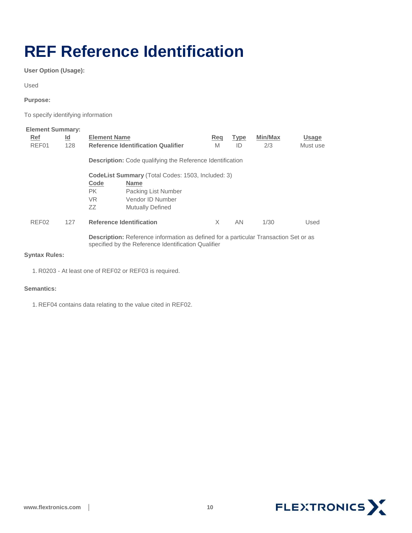### <span id="page-10-0"></span>**REF Reference Identification**

**User Option (Usage):** 

Used

**Purpose:** 

To specify identifying information

| <b>Element Summary:</b> |           |                                                          |                                                                                                                                                    |     |             |         |              |  |  |
|-------------------------|-----------|----------------------------------------------------------|----------------------------------------------------------------------------------------------------------------------------------------------------|-----|-------------|---------|--------------|--|--|
| Ref                     | <u>ld</u> | <b>Element Name</b>                                      |                                                                                                                                                    | Reg | <b>Type</b> | Min/Max | <b>Usage</b> |  |  |
| REF01<br>128            |           |                                                          | <b>Reference Identification Qualifier</b>                                                                                                          | M   | ID          | 2/3     | Must use     |  |  |
|                         |           |                                                          | <b>Description:</b> Code qualifying the Reference Identification                                                                                   |     |             |         |              |  |  |
|                         |           | <b>CodeList Summary (Total Codes: 1503, Included: 3)</b> |                                                                                                                                                    |     |             |         |              |  |  |
|                         |           | Code                                                     | <b>Name</b>                                                                                                                                        |     |             |         |              |  |  |
|                         |           | PK.                                                      | Packing List Number                                                                                                                                |     |             |         |              |  |  |
|                         |           | VR.                                                      | Vendor ID Number                                                                                                                                   |     |             |         |              |  |  |
|                         |           | ZZ                                                       | <b>Mutually Defined</b>                                                                                                                            |     |             |         |              |  |  |
| REF <sub>02</sub>       | 127       |                                                          | <b>Reference Identification</b>                                                                                                                    | X   | <b>AN</b>   | 1/30    | Used         |  |  |
|                         |           |                                                          | <b>Description:</b> Reference information as defined for a particular Transaction Set or as<br>specified by the Reference Identification Qualifier |     |             |         |              |  |  |

#### **Syntax Rules:**

1. R0203 - At least one of REF02 or REF03 is required.

#### **Semantics:**

1. REF04 contains data relating to the value cited in REF02.

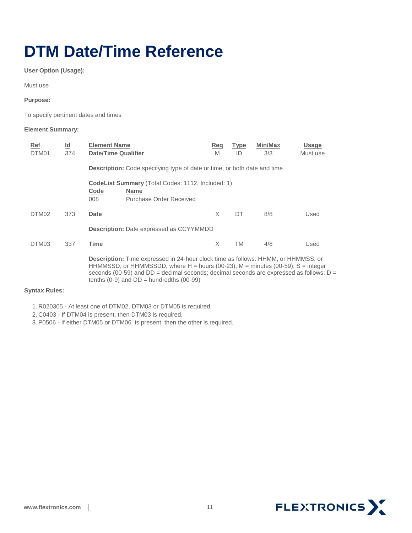### <span id="page-11-0"></span>**DTM Date/Time Reference**

**User Option (Usage):** 

Must use

**Purpose:**

To specify pertinent dates and times

#### **Element Summary:**

| Ref<br>DTM01 | <u>ld</u><br>374 | <b>Element Name</b><br><b>Date/Time Qualifier</b>                                                                                                                                                                                                                                | Reg<br>M | <b>Type</b><br>ID | <b>Min/Max</b><br>3/3 | <b>Usage</b><br>Must use |  |  |
|--------------|------------------|----------------------------------------------------------------------------------------------------------------------------------------------------------------------------------------------------------------------------------------------------------------------------------|----------|-------------------|-----------------------|--------------------------|--|--|
|              |                  | <b>Description:</b> Code specifying type of date or time, or both date and time                                                                                                                                                                                                  |          |                   |                       |                          |  |  |
|              |                  | CodeList Summary (Total Codes: 1112, Included: 1)<br>Code<br><b>Name</b><br>008<br>Purchase Order Received                                                                                                                                                                       |          |                   |                       |                          |  |  |
| DTM02        | 373              | Date                                                                                                                                                                                                                                                                             | X        | DT                | 8/8                   | Used                     |  |  |
|              |                  | <b>Description: Date expressed as CCYYMMDD</b>                                                                                                                                                                                                                                   |          |                   |                       |                          |  |  |
| DTM03        | 337              | Time                                                                                                                                                                                                                                                                             | X        | TM                | 4/8                   | Used                     |  |  |
|              |                  | <b>Description:</b> Time expressed in 24-hour clock time as follows: HHMM, or HHMMSS, or<br>HHMMSSD, or HHMMSSDD, where $H =$ hours (00-23), $M =$ minutes (00-59), $S =$ integer<br>seconds (00-59) and $DD =$ decimal seconds; decimal seconds are expressed as follows: $D =$ |          |                   |                       |                          |  |  |

tenths  $(0-9)$  and  $DD =$  hundredths  $(00-99)$ 

#### **Syntax Rules:**

1. R020305 - At least one of DTM02, DTM03 or DTM05 is required.

2. C0403 - If DTM04 is present, then DTM03 is required.

3.P0506 - If either DTM05 or DTM06 is present, then the other is required.

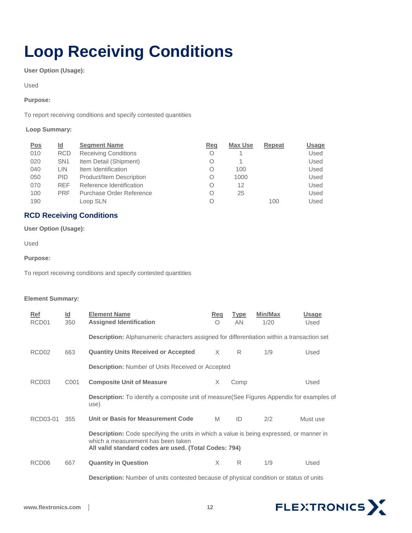# <span id="page-12-0"></span>**Loop Receiving Conditions**

**User Option (Usage):** 

Used

#### **Purpose:**

To report receiving conditions and specify contested quantities

#### **Loop Summary:**

| <u>Pos</u> | Id              | <b>Segment Name</b>             | Reg | <b>Max Use</b> | Repeat | <u>Usage</u> |
|------------|-----------------|---------------------------------|-----|----------------|--------|--------------|
| 010        | <b>RCD</b>      | <b>Receiving Conditions</b>     | Ο   |                |        | Used         |
| 020        | SN <sub>1</sub> | Item Detail (Shipment)          | Ο   |                |        | Used         |
| 040        | LIN.            | Item Identification             | Ο   | 100            |        | Used         |
| 050        | <b>PID</b>      | <b>Product/Item Description</b> | Ο   | 1000           |        | Used         |
| 070        | <b>REF</b>      | Reference Identification        | Ο   | 12             |        | Used         |
| 100        | <b>PRF</b>      | Purchase Order Reference        | Ο   | 25             |        | Used         |
| 190        |                 | Loop SLN                        | Ο   |                | 100    | Used         |

### <span id="page-12-1"></span>**RCD Receiving Conditions**

**User Option (Usage):** 

Used

**Purpose:** 

To report receiving conditions and specify contested quantities

#### **Element Summary:**

| Ref               | $\underline{\mathsf{Id}}$                                                                                                                                                                      | <b>Element Name</b>                                                                               | Req        | <b>Type</b> | Min/Max | <b>Usage</b> |  |
|-------------------|------------------------------------------------------------------------------------------------------------------------------------------------------------------------------------------------|---------------------------------------------------------------------------------------------------|------------|-------------|---------|--------------|--|
| RCD <sub>01</sub> | 350                                                                                                                                                                                            | <b>Assigned Identification</b>                                                                    | $\bigcirc$ | AN          | 1/20    | Used         |  |
|                   |                                                                                                                                                                                                | <b>Description:</b> Alphanumeric characters assigned for differentiation within a transaction set |            |             |         |              |  |
| RCD <sub>02</sub> | 663                                                                                                                                                                                            | <b>Quantity Units Received or Accepted</b>                                                        | X          | R           | 1/9     | Used         |  |
|                   | <b>Description:</b> Number of Units Received or Accepted                                                                                                                                       |                                                                                                   |            |             |         |              |  |
| RCD <sub>03</sub> | C001                                                                                                                                                                                           | <b>Composite Unit of Measure</b>                                                                  | X          | Comp        |         | Used         |  |
|                   |                                                                                                                                                                                                | Description: To identify a composite unit of measure(See Figures Appendix for examples of<br>use) |            |             |         |              |  |
| RCD03-01          | 355                                                                                                                                                                                            | Unit or Basis for Measurement Code                                                                | M          | ID          | 2/2     | Must use     |  |
|                   | <b>Description:</b> Code specifying the units in which a value is being expressed, or manner in<br>which a measurement has been taken<br>All valid standard codes are used. (Total Codes: 794) |                                                                                                   |            |             |         |              |  |
| RCD <sub>06</sub> | 667                                                                                                                                                                                            | <b>Quantity in Question</b>                                                                       | $\times$   | R           | 1/9     | Used         |  |
|                   |                                                                                                                                                                                                | <b>Description:</b> Number of units contested because of physical condition or status of units    |            |             |         |              |  |

FLEXTRONICS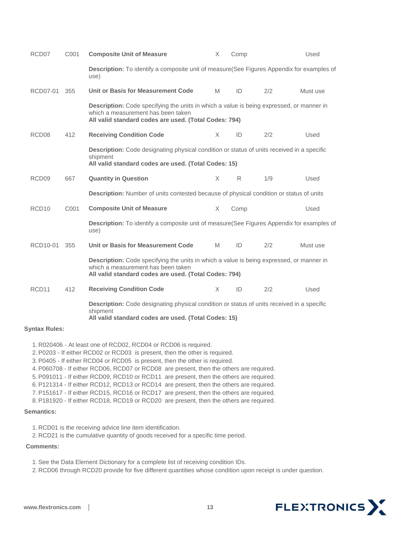| RCD <sub>07</sub>    | C001             | <b>Composite Unit of Measure</b>                                                                                                                                                        | X | Comp |     | Used     |  |  |
|----------------------|------------------|-----------------------------------------------------------------------------------------------------------------------------------------------------------------------------------------|---|------|-----|----------|--|--|
|                      |                  | Description: To identify a composite unit of measure(See Figures Appendix for examples of<br>use)                                                                                       |   |      |     |          |  |  |
| RCD07-01             | 355              | Unit or Basis for Measurement Code                                                                                                                                                      | M | ID   | 2/2 | Must use |  |  |
|                      |                  | Description: Code specifying the units in which a value is being expressed, or manner in<br>which a measurement has been taken<br>All valid standard codes are used. (Total Codes: 794) |   |      |     |          |  |  |
| RCD <sub>08</sub>    | 412              | <b>Receiving Condition Code</b>                                                                                                                                                         | X | ID   | 2/2 | Used     |  |  |
|                      |                  | <b>Description:</b> Code designating physical condition or status of units received in a specific<br>shipment<br>All valid standard codes are used. (Total Codes: 15)                   |   |      |     |          |  |  |
| RCD <sub>09</sub>    | 667              | <b>Quantity in Question</b>                                                                                                                                                             | X | R    | 1/9 | Used     |  |  |
|                      |                  | Description: Number of units contested because of physical condition or status of units                                                                                                 |   |      |     |          |  |  |
| RCD <sub>10</sub>    | C <sub>001</sub> | <b>Composite Unit of Measure</b>                                                                                                                                                        | X | Comp |     | Used     |  |  |
|                      |                  | Description: To identify a composite unit of measure(See Figures Appendix for examples of<br>use)                                                                                       |   |      |     |          |  |  |
| RCD10-01             | 355              | Unit or Basis for Measurement Code                                                                                                                                                      | M | ID   | 2/2 | Must use |  |  |
|                      |                  | Description: Code specifying the units in which a value is being expressed, or manner in<br>which a measurement has been taken<br>All valid standard codes are used. (Total Codes: 794) |   |      |     |          |  |  |
| RCD <sub>11</sub>    | 412              | <b>Receiving Condition Code</b>                                                                                                                                                         | X | ID   | 2/2 | Used     |  |  |
|                      |                  | <b>Description:</b> Code designating physical condition or status of units received in a specific<br>shipment<br>All valid standard codes are used. (Total Codes: 15)                   |   |      |     |          |  |  |
| <b>Syntax Rules:</b> |                  |                                                                                                                                                                                         |   |      |     |          |  |  |
|                      |                  |                                                                                                                                                                                         |   |      |     |          |  |  |

1. R020406 - At least one of RCD02, RCD04 or RCD06 is required.

2.P0203 - If either RCD02 or RCD03 is present, then the other is required.

3.P0405 - If either RCD04 or RCD05 is present, then the other is required.

4.P060708 - If either RCD06, RCD07 or RCD08 are present, then the others are required.

5.P091011 - If either RCD09, RCD10 or RCD11 are present, then the others are required.

6.P121314 - If either RCD12, RCD13 or RCD14 are present, then the others are required.

7.P151617 - If either RCD15, RCD16 or RCD17 are present, then the others are required.

8.P181920 - If either RCD18, RCD19 or RCD20 are present, then the others are required.

#### **Semantics:**

1. RCD01 is the receiving advice line item identification.

2. RCD21 is the cumulative quantity of goods received for a specific time period.

#### **Comments:**

1.See the Data Element Dictionary for a complete list of receiving condition IDs.

2. RCD06 through RCD20 provide for five different quantities whose condition upon receipt is under question.

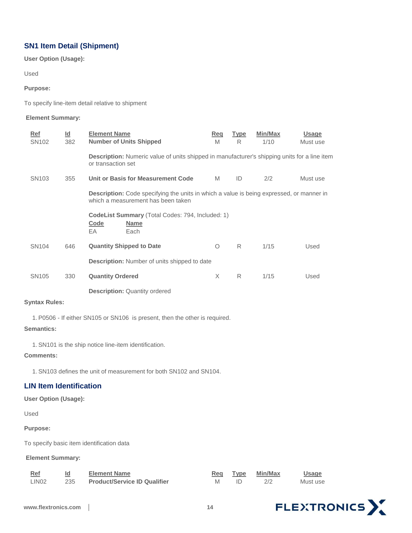### <span id="page-14-0"></span>**SN1 Item Detail (Shipment)**

**User Option (Usage):** 

Used

#### **Purpose:**

To specify line-item detail relative to shipment

#### **Element Summary:**

| Ref               | $\underline{\mathsf{Id}}$ | <b>Element Name</b>                                                                                                                   | Req | <b>Type</b> | Min/Max | <b>Usage</b> |  |  |  |
|-------------------|---------------------------|---------------------------------------------------------------------------------------------------------------------------------------|-----|-------------|---------|--------------|--|--|--|
| SN <sub>102</sub> | 382                       | <b>Number of Units Shipped</b>                                                                                                        | M   | R           | 1/10    | Must use     |  |  |  |
|                   |                           | <b>Description:</b> Numeric value of units shipped in manufacturer's shipping units for a line item<br>or transaction set             |     |             |         |              |  |  |  |
| SN <sub>103</sub> | 355                       | Unit or Basis for Measurement Code                                                                                                    | M   | ID          | 2/2     | Must use     |  |  |  |
|                   |                           | <b>Description:</b> Code specifying the units in which a value is being expressed, or manner in<br>which a measurement has been taken |     |             |         |              |  |  |  |
|                   |                           | <b>CodeList Summary (Total Codes: 794, Included: 1)</b><br><b>Code</b><br><b>Name</b><br>EA.<br>Each                                  |     |             |         |              |  |  |  |
| SN <sub>104</sub> | 646                       | <b>Quantity Shipped to Date</b>                                                                                                       | Ο   | R           | 1/15    | Used         |  |  |  |
|                   |                           | <b>Description:</b> Number of units shipped to date                                                                                   |     |             |         |              |  |  |  |
| SN <sub>105</sub> | 330                       | <b>Quantity Ordered</b>                                                                                                               | X   | R           | 1/15    | Used         |  |  |  |
|                   |                           | <b>Description: Quantity ordered</b>                                                                                                  |     |             |         |              |  |  |  |

#### **Syntax Rules:**

1.P0506 - If either SN105 or SN106 is present, then the other is required.

#### **Semantics:**

1.SN101 is the ship notice line-item identification.

#### **Comments:**

1.SN103 defines the unit of measurement for both SN102 and SN104.

### <span id="page-14-1"></span>**LIN Item Identification**

#### **User Option (Usage):**

Used

#### **Purpose:**

To specify basic item identification data

### **Element Summary:**

| $Ref$             |     | <b>Element Name</b>                 | Reg | Type | <b>Min/Max</b> | Usage    |
|-------------------|-----|-------------------------------------|-----|------|----------------|----------|
| LIN <sub>02</sub> | 235 | <b>Product/Service ID Qualifier</b> |     |      |                | Must use |

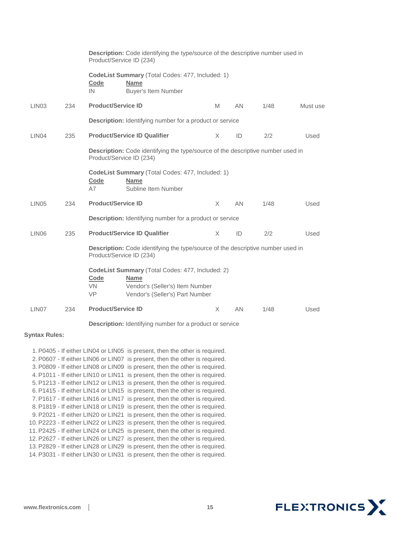|                   |     | Description: Code identifying the type/source of the descriptive number used in<br>Product/Service ID (234) |                                                                                                                                       |          |     |      |          |  |
|-------------------|-----|-------------------------------------------------------------------------------------------------------------|---------------------------------------------------------------------------------------------------------------------------------------|----------|-----|------|----------|--|
|                   |     | Code<br>IN                                                                                                  | <b>CodeList Summary (Total Codes: 477, Included: 1)</b><br><b>Name</b><br><b>Buyer's Item Number</b>                                  |          |     |      |          |  |
| LIN <sub>03</sub> | 234 | <b>Product/Service ID</b>                                                                                   |                                                                                                                                       | M        | AN  | 1/48 | Must use |  |
|                   |     |                                                                                                             | <b>Description:</b> Identifying number for a product or service                                                                       |          |     |      |          |  |
| LIN <sub>04</sub> | 235 |                                                                                                             | <b>Product/Service ID Qualifier</b>                                                                                                   | $\times$ | ID  | 2/2  | Used     |  |
|                   |     | Description: Code identifying the type/source of the descriptive number used in<br>Product/Service ID (234) |                                                                                                                                       |          |     |      |          |  |
|                   |     | Code<br>A7                                                                                                  | CodeList Summary (Total Codes: 477, Included: 1)<br><b>Name</b><br>Subline Item Number                                                |          |     |      |          |  |
| LIN <sub>05</sub> | 234 | <b>Product/Service ID</b>                                                                                   |                                                                                                                                       | X        | AN  | 1/48 | Used     |  |
|                   |     |                                                                                                             | <b>Description:</b> Identifying number for a product or service                                                                       |          |     |      |          |  |
| LIN <sub>06</sub> | 235 |                                                                                                             | <b>Product/Service ID Qualifier</b>                                                                                                   | X        | ID  | 2/2  | Used     |  |
|                   |     | Description: Code identifying the type/source of the descriptive number used in<br>Product/Service ID (234) |                                                                                                                                       |          |     |      |          |  |
|                   |     | Code<br><b>VN</b><br><b>VP</b>                                                                              | CodeList Summary (Total Codes: 477, Included: 2)<br><b>Name</b><br>Vendor's (Seller's) Item Number<br>Vendor's (Seller's) Part Number |          |     |      |          |  |
| LIN <sub>07</sub> | 234 | <b>Product/Service ID</b>                                                                                   |                                                                                                                                       | $\times$ | AN. | 1/48 | Used     |  |
|                   |     |                                                                                                             |                                                                                                                                       |          |     |      |          |  |

**Description:** Identifying number for a product or service

#### **Syntax Rules:**

1.P0405 - If either LIN04 or LIN05 is present, then the other is required. 2.P0607 - If either LIN06 or LIN07 is present, then the other is required. 3.P0809 - If either LIN08 or LIN09 is present, then the other is required. 4.P1011 - If either LIN10 or LIN11 is present, then the other is required. 5.P1213 - If either LIN12 or LIN13 is present, then the other is required. 6.P1415 - If either LIN14 or LIN15 is present, then the other is required. 7.P1617 - If either LIN16 or LIN17 is present, then the other is required. 8.P1819 - If either LIN18 or LIN19 is present, then the other is required. 9.P2021 - If either LIN20 or LIN21 is present, then the other is required. 10.P2223 - If either LIN22 or LIN23 is present, then the other is required. 11.P2425 - If either LIN24 or LIN25 is present, then the other is required. 12.P2627 - If either LIN26 or LIN27 is present, then the other is required. 13.P2829 - If either LIN28 or LIN29 is present, then the other is required. 14.P3031 - If either LIN30 or LIN31 is present, then the other is required.

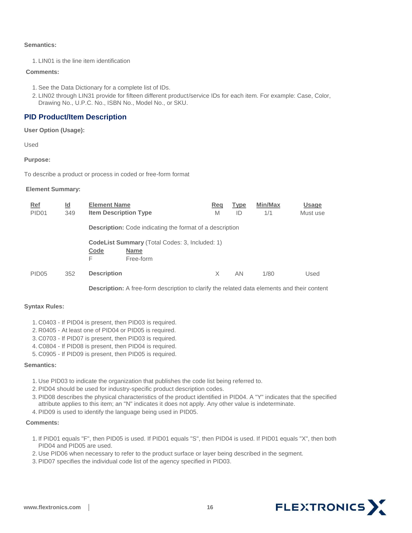#### **Semantics:**

1. LIN01 is the line item identification

#### **Comments:**

- 1.See the Data Dictionary for a complete list of IDs.
- 2. LIN02 through LIN31 provide for fifteen different product/service IDs for each item. For example: Case, Color, Drawing No., U.P.C. No., ISBN No., Model No., or SKU.

### <span id="page-16-0"></span>**PID Product/Item Description**

**User Option (Usage):** 

Used

**Purpose:** 

To describe a product or process in coded or free-form format

#### **Element Summary:**

| <u>Ref</u><br>PID <sub>01</sub> | <u>ld</u><br>349 | <b>Element Name</b><br><b>Item Description Type</b>             |                                                                                   | Reg<br>M | <b>Type</b><br>ID | Min/Max<br>1/1 | <b>Usage</b><br>Must use |  |  |
|---------------------------------|------------------|-----------------------------------------------------------------|-----------------------------------------------------------------------------------|----------|-------------------|----------------|--------------------------|--|--|
|                                 |                  | <b>Description:</b> Code indicating the format of a description |                                                                                   |          |                   |                |                          |  |  |
|                                 |                  | Code<br>F                                                       | <b>CodeList Summary</b> (Total Codes: 3, Included: 1)<br><b>Name</b><br>Free-form |          |                   |                |                          |  |  |
| PID <sub>05</sub>               | 352              | <b>Description</b>                                              |                                                                                   | X        | AN                | 1/80           | Used                     |  |  |

**Description:** A free-form description to clarify the related data elements and their content

#### **Syntax Rules:**

- 1. C0403 If PID04 is present, then PID03 is required.
- 2. R0405 At least one of PID04 or PID05 is required.
- 3. C0703 If PID07 is present, then PID03 is required.
- 4. C0804 If PID08 is present, then PID04 is required.
- 5. C0905 If PID09 is present, then PID05 is required.

#### **Semantics:**

- 1. Use PID03 to indicate the organization that publishes the code list being referred to.
- 2.PID04 should be used for industry-specific product description codes.
- 3.PID08 describes the physical characteristics of the product identified in PID04. A "Y" indicates that the specified attribute applies to this item; an "N" indicates it does not apply. Any other value is indeterminate.
- 4.PID09 is used to identify the language being used in PID05.

#### **Comments:**

- 1. If PID01 equals "F", then PID05 is used. If PID01 equals "S", then PID04 is used. If PID01 equals "X", then both PID04 and PID05 are used.
- 2. Use PID06 when necessary to refer to the product surface or layer being described in the segment.
- 3.PID07 specifies the individual code list of the agency specified in PID03.

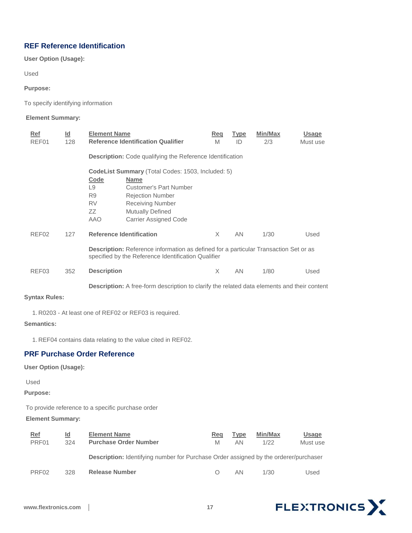### <span id="page-17-0"></span>**REF Reference Identification**

**User Option (Usage):** 

Used

**Purpose:** 

To specify identifying information

#### **Element Summary:**

| Ref               | $\underline{\mathsf{Id}}$ | <b>Element Name</b> |                                                                                                                                             | Req      | <b>Type</b> | Min/Max | <b>Usage</b> |
|-------------------|---------------------------|---------------------|---------------------------------------------------------------------------------------------------------------------------------------------|----------|-------------|---------|--------------|
| REF01             | 128                       |                     | <b>Reference Identification Qualifier</b>                                                                                                   | M        | ID          | 2/3     | Must use     |
|                   |                           |                     | <b>Description:</b> Code qualifying the Reference Identification                                                                            |          |             |         |              |
|                   |                           |                     | <b>CodeList Summary</b> (Total Codes: 1503, Included: 5)                                                                                    |          |             |         |              |
|                   |                           | Code                | <b>Name</b>                                                                                                                                 |          |             |         |              |
|                   |                           | L9                  | Customer's Part Number                                                                                                                      |          |             |         |              |
|                   |                           | R <sub>9</sub>      | <b>Rejection Number</b>                                                                                                                     |          |             |         |              |
|                   |                           | <b>RV</b>           | <b>Receiving Number</b>                                                                                                                     |          |             |         |              |
|                   |                           | ZZ                  | <b>Mutually Defined</b>                                                                                                                     |          |             |         |              |
|                   |                           | <b>AAO</b>          | <b>Carrier Assigned Code</b>                                                                                                                |          |             |         |              |
| REF <sub>02</sub> | 127                       |                     | <b>Reference Identification</b>                                                                                                             | $\times$ | AN          | 1/30    | Used         |
|                   |                           |                     | Description: Reference information as defined for a particular Transaction Set or as<br>specified by the Reference Identification Qualifier |          |             |         |              |
| REF03             | 352                       | <b>Description</b>  |                                                                                                                                             | X        | AN          | 1/80    | Used         |
|                   |                           |                     | <b>Description:</b> A free-form description to clarify the related data elements and their content                                          |          |             |         |              |

**Syntax Rules:** 

1. R0203 - At least one of REF02 or REF03 is required.

**Semantics:** 

1. REF04 contains data relating to the value cited in REF02.

### <span id="page-17-1"></span>**PRF Purchase Order Reference**

**User Option (Usage):**

Used

**Purpose:**

To provide reference to a specific purchase order

**Element Summary:** 

| Ref               | Id  | <b>Element Name</b>                                                                         | Rea | <b>Type</b> | Min/Max | <b>Usage</b> |
|-------------------|-----|---------------------------------------------------------------------------------------------|-----|-------------|---------|--------------|
| PRF <sub>01</sub> | 324 | <b>Purchase Order Number</b>                                                                | M   | AN          | 1/22    | Must use     |
|                   |     | <b>Description:</b> Identifying number for Purchase Order assigned by the orderer/purchaser |     |             |         |              |
| PRF <sub>02</sub> | 328 | <b>Release Number</b>                                                                       |     | AN          | 1/30    | Used         |

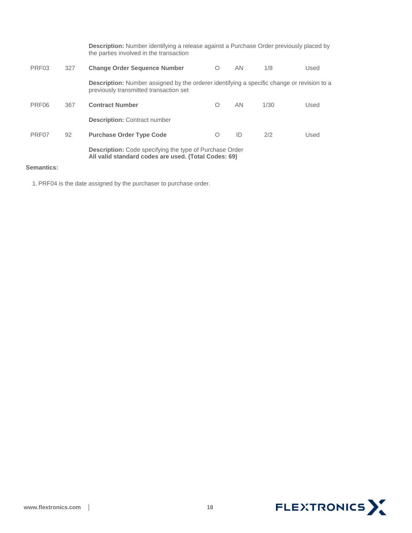|                   |     | <b>Description:</b> Number identifying a release against a Purchase Order previously placed by<br>the parties involved in the transaction   |            |    |      |      |
|-------------------|-----|---------------------------------------------------------------------------------------------------------------------------------------------|------------|----|------|------|
| PRF <sub>03</sub> | 327 | <b>Change Order Sequence Number</b>                                                                                                         | $\Omega$   | AN | 1/8  | Used |
|                   |     | <b>Description:</b> Number assigned by the orderer identifying a specific change or revision to a<br>previously transmitted transaction set |            |    |      |      |
| PRF06             | 367 | <b>Contract Number</b>                                                                                                                      | O          | AN | 1/30 | Used |
|                   |     | <b>Description: Contract number</b>                                                                                                         |            |    |      |      |
| PRF <sub>07</sub> | 92  | <b>Purchase Order Type Code</b>                                                                                                             | $\bigcirc$ | ID | 2/2  | Used |
|                   |     | <b>Description:</b> Code specifying the type of Purchase Order<br>All valid standard codes are used. (Total Codes: 69)                      |            |    |      |      |

#### **Semantics:**

1.PRF04 is the date assigned by the purchaser to purchase order.

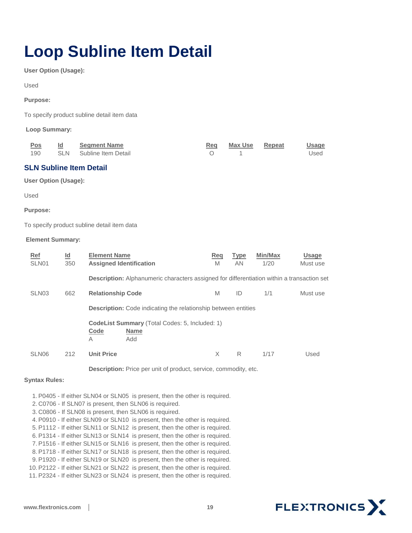# <span id="page-19-0"></span>**Loop Subline Item Detail**

**User Option (Usage):** 

Used

#### **Purpose:**

To specify product subline detail item data

**Loop Summary:** 

| <u>Pos</u> | <b>Segment Name</b>     | Reg Max Use Repeat | <u>Usage</u> |
|------------|-------------------------|--------------------|--------------|
| 190        | SLN Subline Item Detail |                    | Used         |

### <span id="page-19-1"></span>**SLN Subline Item Detail**

**User Option (Usage):** 

Used

#### **Purpose:**

To specify product subline detail item data

#### **Element Summary:**

| Ref<br>SLN01      | <u>ld</u><br>350 | <b>Element Name</b><br><b>Assigned Identification</b>                                             | Reg<br>M | <b>Type</b><br><b>AN</b> | Min/Max<br>1/20 | <b>Usage</b><br>Must use |
|-------------------|------------------|---------------------------------------------------------------------------------------------------|----------|--------------------------|-----------------|--------------------------|
|                   |                  | <b>Description:</b> Alphanumeric characters assigned for differentiation within a transaction set |          |                          |                 |                          |
| SLN <sub>03</sub> | 662              | <b>Relationship Code</b>                                                                          | M        | ID                       | 1/1             | Must use                 |
|                   |                  | <b>Description:</b> Code indicating the relationship between entities                             |          |                          |                 |                          |
|                   |                  | <b>CodeList Summary</b> (Total Codes: 5, Included: 1)<br>Code<br><b>Name</b><br>Add<br>A          |          |                          |                 |                          |
| SLN <sub>06</sub> | 212              | <b>Unit Price</b>                                                                                 | X        | R                        | 1/17            | Used                     |

**Description:** Price per unit of product, service, commodity, etc.

#### **Syntax Rules:**

1.P0405 - If either SLN04 or SLN05 is present, then the other is required.

- 2. C0706 If SLN07 is present, then SLN06 is required.
- 3. C0806 If SLN08 is present, then SLN06 is required.

4.P0910 - If either SLN09 or SLN10 is present, then the other is required.

5.P1112 - If either SLN11 or SLN12 is present, then the other is required.

6.P1314 - If either SLN13 or SLN14 is present, then the other is required.

7.P1516 - If either SLN15 or SLN16 is present, then the other is required. 8.P1718 - If either SLN17 or SLN18 is present, then the other is required.

9.P1920 - If either SLN19 or SLN20 is present, then the other is required.

10.P2122 - If either SLN21 or SLN22 is present, then the other is required.

11.P2324 - If either SLN23 or SLN24 is present, then the other is required.

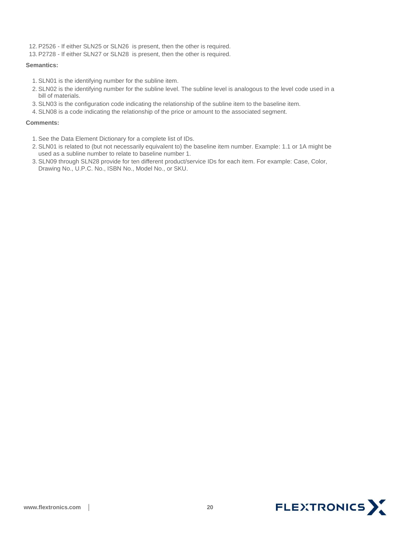12.P2526 - If either SLN25 or SLN26 is present, then the other is required.

13.P2728 - If either SLN27 or SLN28 is present, then the other is required.

#### **Semantics:**

- 1.SLN01 is the identifying number for the subline item.
- 2.SLN02 is the identifying number for the subline level. The subline level is analogous to the level code used in a bill of materials.
- 3.SLN03 is the configuration code indicating the relationship of the subline item to the baseline item.
- 4.SLN08 is a code indicating the relationship of the price or amount to the associated segment.

#### **Comments:**

- 1.See the Data Element Dictionary for a complete list of IDs.
- 2.SLN01 is related to (but not necessarily equivalent to) the baseline item number. Example: 1.1 or 1A might be used as a subline number to relate to baseline number 1.
- 3.SLN09 through SLN28 provide for ten different product/service IDs for each item. For example: Case, Color, Drawing No., U.P.C. No., ISBN No., Model No., or SKU.

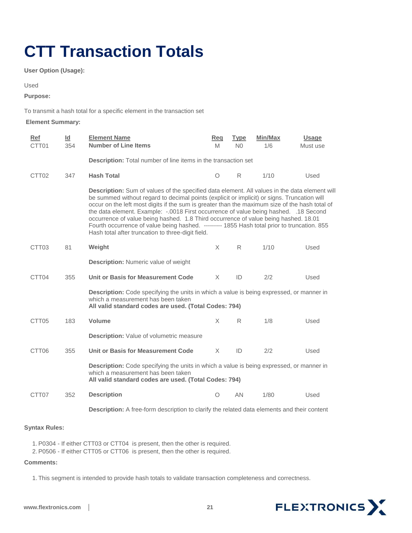# <span id="page-21-0"></span>**CTT Transaction Totals**

**User Option (Usage):** 

Used

**Purpose:** 

To transmit a hash total for a specific element in the transaction set

#### **Element Summary:**

| Ref<br>CTT01      | Id<br>354 | <b>Element Name</b><br><b>Number of Line Items</b>                                                                                                                                                                                                                                                                                                                                                                                                                                                                                                                                                                                | <b>Req</b><br>M | <b>Type</b><br>N <sub>0</sub> | Min/Max<br>1/6 | <b>Usage</b><br>Must use |  |  |
|-------------------|-----------|-----------------------------------------------------------------------------------------------------------------------------------------------------------------------------------------------------------------------------------------------------------------------------------------------------------------------------------------------------------------------------------------------------------------------------------------------------------------------------------------------------------------------------------------------------------------------------------------------------------------------------------|-----------------|-------------------------------|----------------|--------------------------|--|--|
|                   |           | Description: Total number of line items in the transaction set                                                                                                                                                                                                                                                                                                                                                                                                                                                                                                                                                                    |                 |                               |                |                          |  |  |
| CTT <sub>02</sub> | 347       | <b>Hash Total</b>                                                                                                                                                                                                                                                                                                                                                                                                                                                                                                                                                                                                                 | O               | R                             | 1/10           | Used                     |  |  |
|                   |           | Description: Sum of values of the specified data element. All values in the data element will<br>be summed without regard to decimal points (explicit or implicit) or signs. Truncation will<br>occur on the left most digits if the sum is greater than the maximum size of the hash total of<br>the data element. Example: -.0018 First occurrence of value being hashed. .18 Second<br>occurrence of value being hashed. 1.8 Third occurrence of value being hashed. 18.01<br>Fourth occurrence of value being hashed. --------- 1855 Hash total prior to truncation. 855<br>Hash total after truncation to three-digit field. |                 |                               |                |                          |  |  |
| CTT <sub>03</sub> | 81        | Weight                                                                                                                                                                                                                                                                                                                                                                                                                                                                                                                                                                                                                            | X               | R                             | 1/10           | Used                     |  |  |
|                   |           | <b>Description: Numeric value of weight</b>                                                                                                                                                                                                                                                                                                                                                                                                                                                                                                                                                                                       |                 |                               |                |                          |  |  |
| CTT04             | 355       | <b>Unit or Basis for Measurement Code</b>                                                                                                                                                                                                                                                                                                                                                                                                                                                                                                                                                                                         | X               | ID                            | 2/2            | Used                     |  |  |
|                   |           | Description: Code specifying the units in which a value is being expressed, or manner in<br>which a measurement has been taken<br>All valid standard codes are used. (Total Codes: 794)                                                                                                                                                                                                                                                                                                                                                                                                                                           |                 |                               |                |                          |  |  |
| CTT <sub>05</sub> | 183       | <b>Volume</b>                                                                                                                                                                                                                                                                                                                                                                                                                                                                                                                                                                                                                     | X               | R                             | 1/8            | Used                     |  |  |
|                   |           | <b>Description:</b> Value of volumetric measure                                                                                                                                                                                                                                                                                                                                                                                                                                                                                                                                                                                   |                 |                               |                |                          |  |  |
| CTT06             | 355       | Unit or Basis for Measurement Code                                                                                                                                                                                                                                                                                                                                                                                                                                                                                                                                                                                                | X               | ID                            | 2/2            | Used                     |  |  |
|                   |           | <b>Description:</b> Code specifying the units in which a value is being expressed, or manner in<br>which a measurement has been taken<br>All valid standard codes are used. (Total Codes: 794)                                                                                                                                                                                                                                                                                                                                                                                                                                    |                 |                               |                |                          |  |  |
| CTT <sub>07</sub> | 352       | <b>Description</b>                                                                                                                                                                                                                                                                                                                                                                                                                                                                                                                                                                                                                | $\circ$         | AN                            | 1/80           | Used                     |  |  |
|                   |           | Description: A free-form description to clarify the related data elements and their content                                                                                                                                                                                                                                                                                                                                                                                                                                                                                                                                       |                 |                               |                |                          |  |  |

#### **Syntax Rules:**

1.P0304 - If either CTT03 or CTT04 is present, then the other is required.

2.P0506 - If either CTT05 or CTT06 is present, then the other is required.

#### **Comments:**

1. This segment is intended to provide hash totals to validate transaction completeness and correctness.

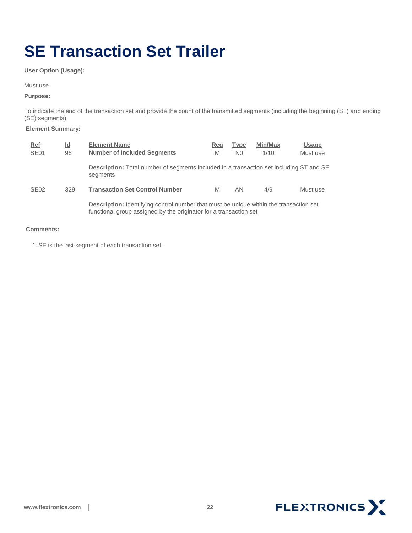# <span id="page-22-0"></span>**SE Transaction Set Trailer**

**User Option (Usage):** 

Must use

#### **Purpose:**

To indicate the end of the transaction set and provide the count of the transmitted segments (including the beginning (ST) and ending (SE) segments)

#### **Element Summary:**

| <u>Ref</u><br><b>SE01</b> | <u>ld</u><br>96 | <b>Element Name</b><br><b>Number of Included Segments</b>                                                                                                          | Reg<br>M | <b>Type</b><br>N <sub>0</sub> | Min/Max<br>1/10 | <b>Usage</b><br>Must use |
|---------------------------|-----------------|--------------------------------------------------------------------------------------------------------------------------------------------------------------------|----------|-------------------------------|-----------------|--------------------------|
|                           |                 | <b>Description:</b> Total number of segments included in a transaction set including ST and SE<br>segments                                                         |          |                               |                 |                          |
| <b>SE02</b>               | 329             | <b>Transaction Set Control Number</b>                                                                                                                              | M        | AN                            | 4/9             | Must use                 |
|                           |                 | <b>Description:</b> Identifying control number that must be unique within the transaction set<br>functional group assigned by the originator for a transaction set |          |                               |                 |                          |

#### **Comments:**

1.SE is the last segment of each transaction set.

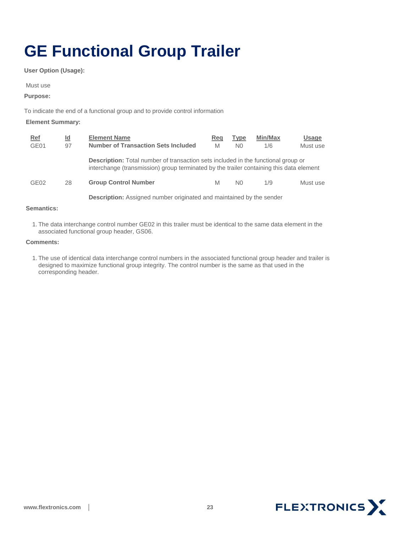# <span id="page-23-0"></span>**GE Functional Group Trailer**

**User Option (Usage):**

Must use

**Purpose:** 

To indicate the end of a functional group and to provide control information

#### **Element Summary:**

| Ref              | Id | <b>Element Name</b>                                                                                                                                                                 | Reg | <b>Type</b>    | Min/Max | <b>Usage</b> |  |  |
|------------------|----|-------------------------------------------------------------------------------------------------------------------------------------------------------------------------------------|-----|----------------|---------|--------------|--|--|
| GE01             | 97 | <b>Number of Transaction Sets Included</b>                                                                                                                                          | M   | N <sub>0</sub> | 1/6     | Must use     |  |  |
|                  |    | <b>Description:</b> Total number of transaction sets included in the functional group or<br>interchange (transmission) group terminated by the trailer containing this data element |     |                |         |              |  |  |
| GE <sub>02</sub> | 28 | <b>Group Control Number</b>                                                                                                                                                         | M   | N <sub>0</sub> | 1/9     | Must use     |  |  |
|                  |    | <b>Description:</b> Assigned number originated and maintained by the sender                                                                                                         |     |                |         |              |  |  |

#### **Semantics:**

1. The data interchange control number GE02 in this trailer must be identical to the same data element in the associated functional group header, GS06.

#### **Comments:**

1. The use of identical data interchange control numbers in the associated functional group header and trailer is designed to maximize functional group integrity. The control number is the same as that used in the corresponding header.